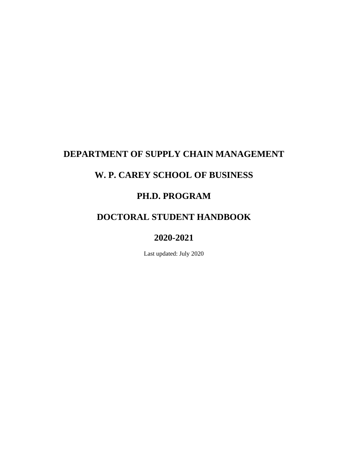# **DEPARTMENT OF SUPPLY CHAIN MANAGEMENT**

# **W. P. CAREY SCHOOL OF BUSINESS**

# **PH.D. PROGRAM**

# **DOCTORAL STUDENT HANDBOOK**

# **2020-2021**

Last updated: July 2020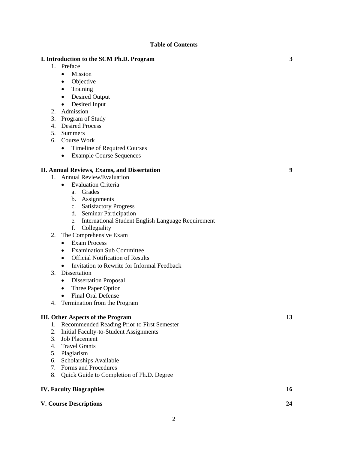#### **Table of Contents**

### **I. Introduction to the SCM Ph.D. Program 3**

- 1. Preface
	- Mission
	- Objective
	- Training
	- Desired Output
	- Desired Input
- 2. Admission
- 3. Program of Study
- 4. Desired Process
- 5. Summers
- 6. Course Work
	- Timeline of Required Courses
	- Example Course Sequences

# **II. Annual Reviews, Exams, and Dissertation 9**

- 1. Annual Review/Evaluation
	- Evaluation Criteria
		- a. Grades
		- b. Assignments
		- c. Satisfactory Progress
		- d. Seminar Participation
		- e. International Student English Language Requirement
		- f. Collegiality
- 2. The Comprehensive Exam
	- Exam Process
	- Examination Sub Committee
	- Official Notification of Results
	- Invitation to Rewrite for Informal Feedback
- 3. Dissertation
	- Dissertation Proposal
	- Three Paper Option
	- Final Oral Defense
- 4. Termination from the Program

## **III. Other Aspects of the Program 13**

- 1. Recommended Reading Prior to First Semester
- 2. Initial Faculty-to-Student Assignments
- 3. Job Placement
- 4. Travel Grants
- 5. Plagiarism
- 6. Scholarships Available
- 7. Forms and Procedures
- 8. Quick Guide to Completion of Ph.D. Degree

# **IV. Faculty Biographies 16**

### **V. Course Descriptions 24**

2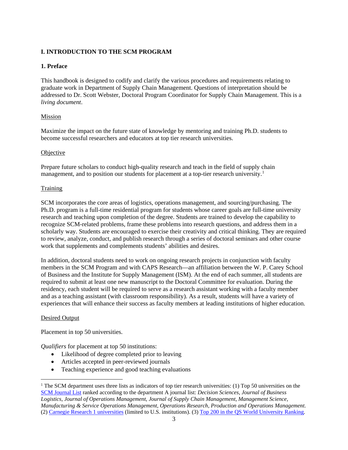# **I. INTRODUCTION TO THE SCM PROGRAM**

# **1. Preface**

This handbook is designed to codify and clarify the various procedures and requirements relating to graduate work in Department of Supply Chain Management. Questions of interpretation should be addressed to Dr. Scott Webster, Doctoral Program Coordinator for Supply Chain Management. This is a *living document*.

# Mission

Maximize the impact on the future state of knowledge by mentoring and training Ph.D. students to become successful researchers and educators at top tier research universities.

### Objective

Prepare future scholars to conduct high-quality research and teach in the field of supply chain management, and to position our students for placement at a top-tier research university.<sup>[1](#page-9-0)</sup>

# **Training**

SCM incorporates the core areas of logistics, operations management, and sourcing/purchasing. The Ph.D. program is a full-time residential program for students whose career goals are full-time university research and teaching upon completion of the degree. Students are trained to develop the capability to recognize SCM-related problems, frame these problems into research questions, and address them in a scholarly way. Students are encouraged to exercise their creativity and critical thinking. They are required to review, analyze, conduct, and publish research through a series of doctoral seminars and other course work that supplements and complements students' abilities and desires.

In addition, doctoral students need to work on ongoing research projects in conjunction with faculty members in the SCM Program and with CAPS Research—an affiliation between the W. P. Carey School of Business and the Institute for Supply Management (ISM). At the end of each summer, all students are required to submit at least one new manuscript to the Doctoral Committee for evaluation. During the residency, each student will be required to serve as a research assistant working with a faculty member and as a teaching assistant (with classroom responsibility). As a result, students will have a variety of experiences that will enhance their success as faculty members at leading institutions of higher education.

# Desired Output

Placement in top 50 universities.

*Qualifiers* for placement at top 50 institutions:

- Likelihood of degree completed prior to leaving
- Articles accepted in peer-reviewed journals
- Teaching experience and good teaching evaluations

<sup>&</sup>lt;sup>1</sup> The SCM department uses three lists as indicators of top tier research universities: (1) Top 50 universities on the [SCM Journal List](http://www.scmlist.com/) ranked according to the department A journal list: *Decision Sciences*, *Journal of Business Logistics*, *Journal of Operations Management*, *Journal of Supply Chain Management*, *Management Science*, *Manufacturing & Service Operations Management*, *Operations Research*, *Production and Operations Management*. (2) [Carnegie Research 1 universities](http://carnegieclassifications.iu.edu/lookup/srp.php?clq=%7B%22basic2005_ids%22%3A%2215%22%7D&start_page=standard.php) (limited to U.S. institutions). (3[\) Top 200 in the QS World University Ranking.](https://www.topuniversities.com/qs-world-university-rankings)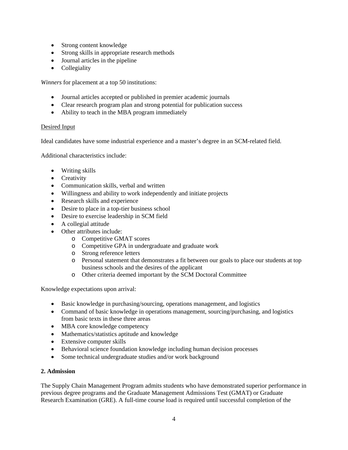- Strong content knowledge
- Strong skills in appropriate research methods
- Journal articles in the pipeline
- Collegiality

*Winners* for placement at a top 50 institutions:

- Journal articles accepted or published in premier academic journals
- Clear research program plan and strong potential for publication success
- Ability to teach in the MBA program immediately

# Desired Input

Ideal candidates have some industrial experience and a master's degree in an SCM-related field.

Additional characteristics include:

- Writing skills
- Creativity
- Communication skills, verbal and written
- Willingness and ability to work independently and initiate projects
- Research skills and experience
- Desire to place in a top-tier business school
- Desire to exercise leadership in SCM field
- A collegial attitude
- Other attributes include:
	- o Competitive GMAT scores
	- o Competitive GPA in undergraduate and graduate work
	- o Strong reference letters
	- o Personal statement that demonstrates a fit between our goals to place our students at top business schools and the desires of the applicant
	- o Other criteria deemed important by the SCM Doctoral Committee

Knowledge expectations upon arrival:

- Basic knowledge in purchasing/sourcing, operations management, and logistics
- Command of basic knowledge in operations management, sourcing/purchasing, and logistics from basic texts in these three areas
- MBA core knowledge competency
- Mathematics/statistics aptitude and knowledge
- Extensive computer skills
- Behavioral science foundation knowledge including human decision processes
- Some technical undergraduate studies and/or work background

### **2. Admission**

The Supply Chain Management Program admits students who have demonstrated superior performance in previous degree programs and the Graduate Management Admissions Test (GMAT) or Graduate Research Examination (GRE). A full-time course load is required until successful completion of the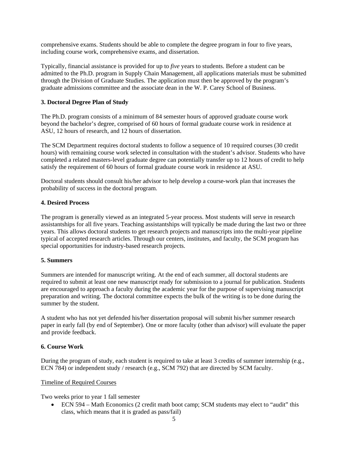comprehensive exams. Students should be able to complete the degree program in four to five years, including course work, comprehensive exams, and dissertation.

Typically, financial assistance is provided for up to *five* years to students. Before a student can be admitted to the Ph.D. program in Supply Chain Management, all applications materials must be submitted through the Division of Graduate Studies. The application must then be approved by the program's graduate admissions committee and the associate dean in the W. P. Carey School of Business.

# **3. Doctoral Degree Plan of Study**

The Ph.D. program consists of a minimum of 84 semester hours of approved graduate course work beyond the bachelor's degree, comprised of 60 hours of formal graduate course work in residence at ASU, 12 hours of research, and 12 hours of dissertation.

The SCM Department requires doctoral students to follow a sequence of 10 required courses (30 credit hours) with remaining course work selected in consultation with the student's advisor. Students who have completed a related masters-level graduate degree can potentially transfer up to 12 hours of credit to help satisfy the requirement of 60 hours of formal graduate course work in residence at ASU.

Doctoral students should consult his/her advisor to help develop a course-work plan that increases the probability of success in the doctoral program.

### **4. Desired Process**

The program is generally viewed as an integrated 5-year process. Most students will serve in research assistantships for all five years. Teaching assistantships will typically be made during the last two or three years. This allows doctoral students to get research projects and manuscripts into the multi-year pipeline typical of accepted research articles. Through our centers, institutes, and faculty, the SCM program has special opportunities for industry-based research projects.

### **5. Summers**

Summers are intended for manuscript writing. At the end of each summer, all doctoral students are required to submit at least one new manuscript ready for submission to a journal for publication. Students are encouraged to approach a faculty during the academic year for the purpose of supervising manuscript preparation and writing. The doctoral committee expects the bulk of the writing is to be done during the summer by the student.

A student who has not yet defended his/her dissertation proposal will submit his/her summer research paper in early fall (by end of September). One or more faculty (other than advisor) will evaluate the paper and provide feedback.

### **6. Course Work**

During the program of study, each student is required to take at least 3 credits of summer internship (e.g., ECN 784) or independent study / research (e.g., SCM 792) that are directed by SCM faculty.

### Timeline of Required Courses

Two weeks prior to year 1 fall semester

• ECN 594 – Math Economics (2 credit math boot camp; SCM students may elect to "audit" this class, which means that it is graded as pass/fail)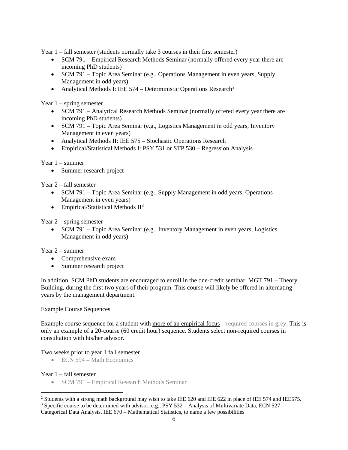Year 1 – fall semester (students normally take 3 courses in their first semester)

- SCM 791 Empirical Research Methods Seminar (normally offered every year there are incoming PhD students)
- SCM 791 Topic Area Seminar (e.g., Operations Management in even years, Supply Management in odd years)
- Analytical Methods I: IEE 574 Deterministic Operations Research<sup>[2](#page-5-0)</sup>

Year  $1$  – spring semester

- SCM 791 Analytical Research Methods Seminar (normally offered every year there are incoming PhD students)
- SCM 791 Topic Area Seminar (e.g., Logistics Management in odd years, Inventory Management in even years)
- Analytical Methods II: IEE 575 Stochastic Operations Research
- Empirical/Statistical Methods I: PSY 531 or STP 530 Regression Analysis

# Year 1 – summer

• Summer research project

Year 2 – fall semester

- SCM 791 Topic Area Seminar (e.g., Supply Management in odd years, Operations Management in even years)
- Empirical/Statistical Methods  $II^3$  $II^3$

### Year 2 – spring semester

• SCM 791 – Topic Area Seminar (e.g., Inventory Management in even years, Logistics Management in odd years)

#### Year 2 – summer

- Comprehensive exam
- Summer research project

In addition, SCM PhD students are encouraged to enroll in the one-credit seminar, MGT 791 – Theory Building, during the first two years of their program. This course will likely be offered in alternating years by the management department.

#### Example Course Sequences

Example course sequence for a student with more of an empirical focus – required courses in grey. This is only an example of a 20-course (60 credit hour) sequence. Students select non-required courses in consultation with his/her advisor.

#### Two weeks prior to year 1 fall semester

• ECN 594 – Math Economics

#### Year 1 – fall semester

• SCM 791 – Empirical Research Methods Seminar

<span id="page-5-0"></span><sup>&</sup>lt;sup>2</sup> Students with a strong math background may wish to take IEE 620 and IEE 622 in place of IEE 574 and IEE575.

<span id="page-5-1"></span><sup>3</sup> Specific course to be determined with advisor, e.g., PSY 532 – Analysis of Multivariate Data, ECN 527 –

Categorical Data Analysis, IEE 670 – Mathematical Statistics, to name a few possibilities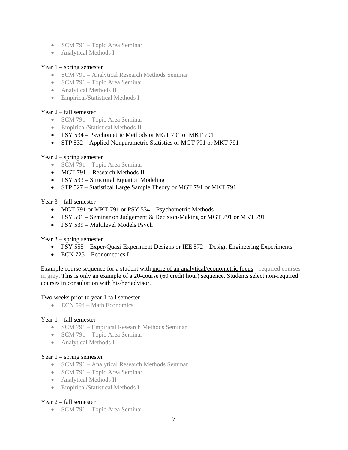- SCM 791 Topic Area Seminar
- Analytical Methods I

### Year  $1$  – spring semester

- SCM 791 Analytical Research Methods Seminar
- SCM 791 Topic Area Seminar
- Analytical Methods II
- Empirical/Statistical Methods I

## Year 2 – fall semester

- SCM 791 Topic Area Seminar
- Empirical/Statistical Methods II
- PSY 534 Psychometric Methods or MGT 791 or MKT 791
- STP 532 Applied Nonparametric Statistics or MGT 791 or MKT 791

### Year 2 – spring semester

- SCM 791 Topic Area Seminar
- MGT 791 Research Methods II
- PSY 533 Structural Equation Modeling
- STP 527 Statistical Large Sample Theory or MGT 791 or MKT 791

### Year 3 – fall semester

- MGT 791 or MKT 791 or PSY 534 Psychometric Methods
- PSY 591 Seminar on Judgement & Decision-Making or MGT 791 or MKT 791
- PSY 539 Multilevel Models Psych

### Year 3 – spring semester

- PSY 555 Exper/Quasi-Experiment Designs or IEE 572 Design Engineering Experiments
- ECN 725 Econometrics I

Example course sequence for a student with more of an analytical/econometric focus – required courses in grey. This is only an example of a 20-course (60 credit hour) sequence. Students select non-required courses in consultation with his/her advisor.

### Two weeks prior to year 1 fall semester

• ECN 594 – Math Economics

### Year 1 – fall semester

- SCM 791 Empirical Research Methods Seminar
- SCM 791 Topic Area Seminar
- Analytical Methods I

### Year  $1$  – spring semester

- SCM 791 Analytical Research Methods Seminar
- SCM 791 Topic Area Seminar
- Analytical Methods II
- Empirical/Statistical Methods I

### Year 2 – fall semester

• SCM 791 – Topic Area Seminar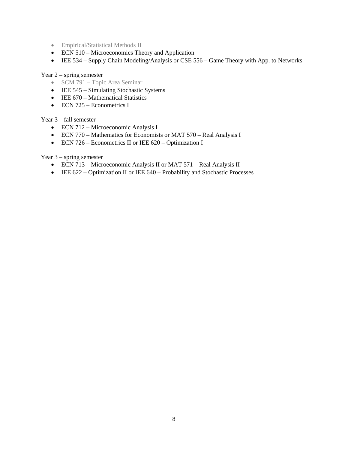- Empirical/Statistical Methods II
- ECN 510 Microeconomics Theory and Application
- IEE 534 Supply Chain Modeling/Analysis or CSE 556 Game Theory with App. to Networks

### Year 2 – spring semester

- SCM 791 Topic Area Seminar
- IEE 545 Simulating Stochastic Systems
- IEE 670 Mathematical Statistics
- ECN 725 Econometrics I

### Year 3 – fall semester

- ECN 712 Microeconomic Analysis I
- ECN 770 Mathematics for Economists or MAT 570 Real Analysis I
- ECN 726 Econometrics II or IEE 620 Optimization I

## Year 3 – spring semester

- ECN 713 Microeconomic Analysis II or MAT 571 Real Analysis II
- IEE 622 Optimization II or IEE 640 Probability and Stochastic Processes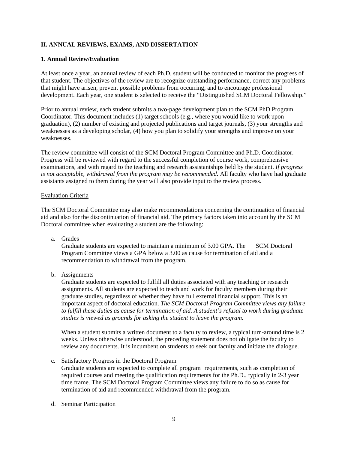# **II. ANNUAL REVIEWS, EXAMS, AND DISSERTATION**

#### **1. Annual Review/Evaluation**

At least once a year, an annual review of each Ph.D. student will be conducted to monitor the progress of that student. The objectives of the review are to recognize outstanding performance, correct any problems that might have arisen, prevent possible problems from occurring, and to encourage professional development. Each year, one student is selected to receive the "Distinguished SCM Doctoral Fellowship."

Prior to annual review, each student submits a two-page development plan to the SCM PhD Program Coordinator. This document includes (1) target schools (e.g., where you would like to work upon graduation), (2) number of existing and projected publications and target journals, (3) your strengths and weaknesses as a developing scholar, (4) how you plan to solidify your strengths and improve on your weaknesses.

The review committee will consist of the SCM Doctoral Program Committee and Ph.D. Coordinator. Progress will be reviewed with regard to the successful completion of course work, comprehensive examinations, and with regard to the teaching and research assistantships held by the student. *If progress is not acceptable, withdrawal from the program may be recommended.* All faculty who have had graduate assistants assigned to them during the year will also provide input to the review process.

#### Evaluation Criteria

The SCM Doctoral Committee may also make recommendations concerning the continuation of financial aid and also for the discontinuation of financial aid. The primary factors taken into account by the SCM Doctoral committee when evaluating a student are the following:

a. Grades

Graduate students are expected to maintain a minimum of 3.00 GPA. The SCM Doctoral Program Committee views a GPA below a 3.00 as cause for termination of aid and a recommendation to withdrawal from the program.

b. Assignments

Graduate students are expected to fulfill all duties associated with any teaching or research assignments. All students are expected to teach and work for faculty members during their graduate studies, regardless of whether they have full external financial support. This is an important aspect of doctoral education. *The SCM Doctoral Program Committee views any failure to fulfill these duties as cause for termination of aid. A student's refusal to work during graduate studies is viewed as grounds for asking the student to leave the program.*

When a student submits a written document to a faculty to review, a typical turn-around time is 2 weeks. Unless otherwise understood, the preceding statement does not obligate the faculty to review any documents. It is incumbent on students to seek out faculty and initiate the dialogue.

- c. Satisfactory Progress in the Doctoral Program Graduate students are expected to complete all program requirements, such as completion of required courses and meeting the qualification requirements for the Ph.D., typically in 2-3 year time frame. The SCM Doctoral Program Committee views any failure to do so as cause for termination of aid and recommended withdrawal from the program.
- d. Seminar Participation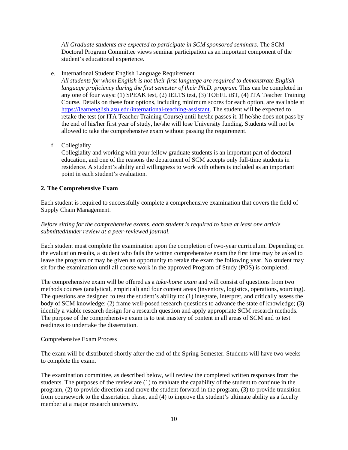*All Graduate students are expected to participate in SCM sponsored seminars.* The SCM Doctoral Program Committee views seminar participation as an important component of the student's educational experience.

#### e. International Student English Language Requirement

*All students for whom English is not their first language are required to demonstrate English language proficiency during the first semester of their Ph.D. program.* This can be completed in any one of four ways: (1) SPEAK test, (2) IELTS test, (3) TOEFL iBT, (4) ITA Teacher Training Course. Details on these four options, including minimum scores for each option, are available at [https://learnenglish.asu.edu/international-teaching-assistant.](https://learnenglish.asu.edu/international-teaching-assistant) The student will be expected to retake the test (or ITA Teacher Training Course) until he/she passes it. If he/she does not pass by the end of his/her first year of study, he/she will lose University funding. Students will not be allowed to take the comprehensive exam without passing the requirement.

f. Collegiality

Collegiality and working with your fellow graduate students is an important part of doctoral education, and one of the reasons the department of SCM accepts only full-time students in residence. A student's ability and willingness to work with others is included as an important point in each student's evaluation.

### **2. The Comprehensive Exam**

Each student is required to successfully complete a comprehensive examination that covers the field of Supply Chain Management.

## *Before sitting for the comprehensive exams, each student is required to have at least one article submitted/under review at a peer-reviewed journal.*

Each student must complete the examination upon the completion of two-year curriculum. Depending on the evaluation results, a student who fails the written comprehensive exam the first time may be asked to leave the program or may be given an opportunity to retake the exam the following year. No student may sit for the examination until all course work in the approved Program of Study (POS) is completed.

The comprehensive exam will be offered as a *take-home exam* and will consist of questions from two methods courses (analytical, empirical) and four content areas (inventory, logistics, operations, sourcing). The questions are designed to test the student's ability to: (1) integrate, interpret, and critically assess the body of SCM knowledge; (2) frame well-posed research questions to advance the state of knowledge; (3) identify a viable research design for a research question and apply appropriate SCM research methods. The purpose of the comprehensive exam is to test mastery of content in all areas of SCM and to test readiness to undertake the dissertation.

### Comprehensive Exam Process

The exam will be distributed shortly after the end of the Spring Semester. Students will have two weeks to complete the exam.

<span id="page-9-0"></span>The examination committee, as described below, will review the completed written responses from the students. The purposes of the review are (1) to evaluate the capability of the student to continue in the program, (2) to provide direction and move the student forward in the program, (3) to provide transition from coursework to the dissertation phase, and (4) to improve the student's ultimate ability as a faculty member at a major research university.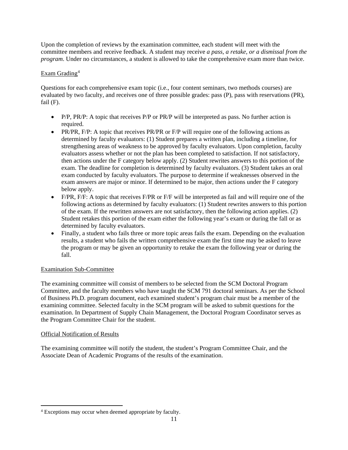Upon the completion of reviews by the examination committee, each student will meet with the committee members and receive feedback. A student may receive *a pass, a retake, or a dismissal from the program*. Under no circumstances, a student is allowed to take the comprehensive exam more than twice.

# Exam Grading<sup>[4](#page-10-0)</sup>

Questions for each comprehensive exam topic (i.e., four content seminars, two methods courses) are evaluated by two faculty, and receives one of three possible grades: pass (P), pass with reservations (PR), fail  $(F)$ .

- P/P, PR/P: A topic that receives P/P or PR/P will be interpreted as pass. No further action is required.
- PR/PR, F/P: A topic that receives PR/PR or F/P will require one of the following actions as determined by faculty evaluators: (1) Student prepares a written plan, including a timeline, for strengthening areas of weakness to be approved by faculty evaluators. Upon completion, faculty evaluators assess whether or not the plan has been completed to satisfaction. If not satisfactory, then actions under the F category below apply. (2) Student rewrites answers to this portion of the exam. The deadline for completion is determined by faculty evaluators. (3) Student takes an oral exam conducted by faculty evaluators. The purpose to determine if weaknesses observed in the exam answers are major or minor. If determined to be major, then actions under the F category below apply.
- F/PR, F/F: A topic that receives F/PR or F/F will be interpreted as fail and will require one of the following actions as determined by faculty evaluators: (1) Student rewrites answers to this portion of the exam. If the rewritten answers are not satisfactory, then the following action applies. (2) Student retakes this portion of the exam either the following year's exam or during the fall or as determined by faculty evaluators.
- Finally, a student who fails three or more topic areas fails the exam. Depending on the evaluation results, a student who fails the written comprehensive exam the first time may be asked to leave the program or may be given an opportunity to retake the exam the following year or during the fall.

# Examination Sub-Committee

The examining committee will consist of members to be selected from the SCM Doctoral Program Committee, and the faculty members who have taught the SCM 791 doctoral seminars. As per the School of Business Ph.D. program document, each examined student's program chair must be a member of the examining committee. Selected faculty in the SCM program will be asked to submit questions for the examination. In Department of Supply Chain Management, the Doctoral Program Coordinator serves as the Program Committee Chair for the student.

### Official Notification of Results

The examining committee will notify the student, the student's Program Committee Chair, and the Associate Dean of Academic Programs of the results of the examination.

<span id="page-10-0"></span> <sup>4</sup> Exceptions may occur when deemed appropriate by faculty.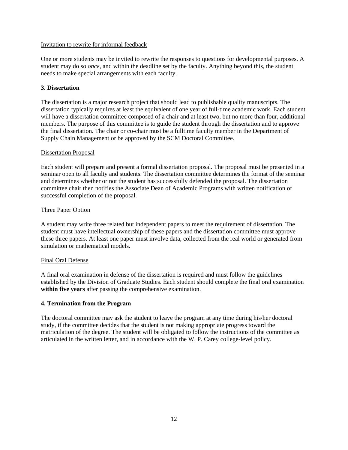#### Invitation to rewrite for informal feedback

One or more students may be invited to rewrite the responses to questions for developmental purposes. A student may do so *once*, and within the deadline set by the faculty. Anything beyond this, the student needs to make special arrangements with each faculty.

## **3. Dissertation**

The dissertation is a major research project that should lead to publishable quality manuscripts. The dissertation typically requires at least the equivalent of one year of full-time academic work. Each student will have a dissertation committee composed of a chair and at least two, but no more than four, additional members. The purpose of this committee is to guide the student through the dissertation and to approve the final dissertation. The chair or co-chair must be a fulltime faculty member in the Department of Supply Chain Management or be approved by the SCM Doctoral Committee.

### Dissertation Proposal

Each student will prepare and present a formal dissertation proposal. The proposal must be presented in a seminar open to all faculty and students. The dissertation committee determines the format of the seminar and determines whether or not the student has successfully defended the proposal. The dissertation committee chair then notifies the Associate Dean of Academic Programs with written notification of successful completion of the proposal.

### Three Paper Option

A student may write three related but independent papers to meet the requirement of dissertation. The student must have intellectual ownership of these papers and the dissertation committee must approve these three papers. At least one paper must involve data, collected from the real world or generated from simulation or mathematical models.

### Final Oral Defense

A final oral examination in defense of the dissertation is required and must follow the guidelines established by the Division of Graduate Studies. Each student should complete the final oral examination **within five years** after passing the comprehensive examination.

### **4. Termination from the Program**

The doctoral committee may ask the student to leave the program at any time during his/her doctoral study, if the committee decides that the student is not making appropriate progress toward the matriculation of the degree. The student will be obligated to follow the instructions of the committee as articulated in the written letter, and in accordance with the W. P. Carey college-level policy.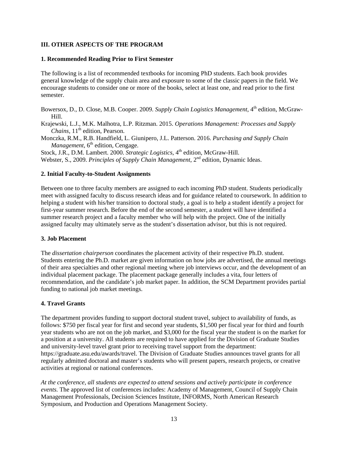## **III. OTHER ASPECTS OF THE PROGRAM**

#### **1. Recommended Reading Prior to First Semester**

The following is a list of recommended textbooks for incoming PhD students. Each book provides general knowledge of the supply chain area and exposure to some of the classic papers in the field. We encourage students to consider one or more of the books, select at least one, and read prior to the first semester.

Bowersox, D., D. Close, M.B. Cooper. 2009. *Supply Chain Logistics Management*, 4<sup>th</sup> edition, McGraw-Hill.

Krajewski, L.J., M.K. Malhotra, L.P. Ritzman. 2015. *Operations Management: Processes and Supply Chains*, 11<sup>th</sup> edition, Pearson.

Monczka, R.M., R.B. Handfield, L. Giunipero, J.L. Patterson. 2016. *Purchasing and Supply Chain Management*, 6<sup>th</sup> edition, Cengage.

Stock, J.R., D.M. Lambert. 2000. *Strategic Logistics*, 4<sup>th</sup> edition, McGraw-Hill. Webster, S., 2009. *Principles of Supply Chain Management*, 2nd edition, Dynamic Ideas.

#### **2. Initial Faculty-to-Student Assignments**

Between one to three faculty members are assigned to each incoming PhD student. Students periodically meet with assigned faculty to discuss research ideas and for guidance related to coursework. In addition to helping a student with his/her transition to doctoral study, a goal is to help a student identify a project for first-year summer research. Before the end of the second semester, a student will have identified a summer research project and a faculty member who will help with the project. One of the initially assigned faculty may ultimately serve as the student's dissertation advisor, but this is not required.

### **3. Job Placement**

The *dissertation chairperson* coordinates the placement activity of their respective Ph.D. student. Students entering the Ph.D. market are given information on how jobs are advertised, the annual meetings of their area specialties and other regional meeting where job interviews occur, and the development of an individual placement package. The placement package generally includes a vita, four letters of recommendation, and the candidate's job market paper. In addition, the SCM Department provides partial funding to national job market meetings.

### **4. Travel Grants**

The department provides funding to support doctoral student travel, subject to availability of funds, as follows: \$750 per fiscal year for first and second year students, \$1,500 per fiscal year for third and fourth year students who are not on the job market, and \$3,000 for the fiscal year the student is on the market for a position at a university. All students are required to have applied for the Division of Graduate Studies and university-level travel grant prior to receiving travel support from the department: https://graduate.asu.edu/awards/travel. The Division of Graduate Studies announces travel grants for all regularly admitted doctoral and master's students who will present papers, research projects, or creative activities at regional or national conferences.

*At the conference, all students are expected to attend sessions and actively participate in conference events.* The approved list of conferences includes: Academy of Management, Council of Supply Chain Management Professionals, Decision Sciences Institute, INFORMS, North American Research Symposium, and Production and Operations Management Society.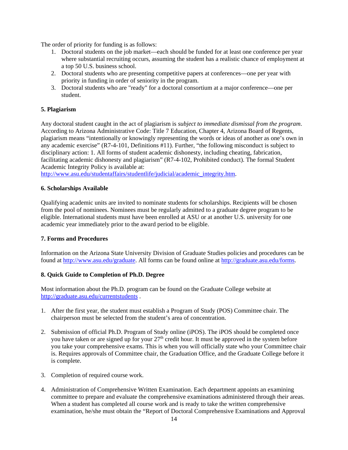The order of priority for funding is as follows:

- 1. Doctoral students on the job market—each should be funded for at least one conference per year where substantial recruiting occurs, assuming the student has a realistic chance of employment at a top 50 U.S. business school.
- 2. Doctoral students who are presenting competitive papers at conferences—one per year with priority in funding in order of seniority in the program.
- 3. Doctoral students who are "ready" for a doctoral consortium at a major conference—one per student.

# **5. Plagiarism**

Any doctoral student caught in the act of plagiarism is *subject to immediate dismissal from the program*. According to Arizona Administrative Code: Title 7 Education, Chapter 4, Arizona Board of Regents, plagiarism means "intentionally or knowingly representing the words or ideas of another as one's own in any academic exercise" (R7-4-101, Definitions #11). Further, "the following misconduct is subject to disciplinary action: 1. All forms of student academic dishonesty, including cheating, fabrication, facilitating academic dishonesty and plagiarism" (R7-4-102, Prohibited conduct). The formal Student Academic Integrity Policy is available at:

[http://www.asu.edu/studentaffairs/studentlife/judicial/academic\\_integrity.htm.](http://www.asu.edu/studentaffairs/studentlife/judicial/academic_integrity.htm)

### **6. Scholarships Available**

Qualifying academic units are invited to nominate students for scholarships. Recipients will be chosen from the pool of nominees. Nominees must be regularly admitted to a graduate degree program to be eligible. International students must have been enrolled at ASU or at another U.S. university for one academic year immediately prior to the award period to be eligible.

### **7. Forms and Procedures**

Information on the Arizona State University Division of Graduate Studies policies and procedures can be found at [http://www.asu.edu/graduate.](http://www.asu.edu/graduate) All forms can be found online at [http://graduate.asu.edu/forms.](http://graduate.asu.edu/forms)

### **8. Quick Guide to Completion of Ph.D. Degree**

Most information about the Ph.D. program can be found on the Graduate College website at <http://graduate.asu.edu/currentstudents> .

- 1. After the first year, the student must establish a Program of Study (POS) Committee chair. The chairperson must be selected from the student's area of concentration.
- 2. Submission of official Ph.D. Program of Study online (iPOS). The iPOS should be completed once you have taken or are signed up for your  $27<sup>th</sup>$  credit hour. It must be approved in the system before you take your comprehensive exams. This is when you will officially state who your Committee chair is. Requires approvals of Committee chair, the Graduation Office, and the Graduate College before it is complete.
- 3. Completion of required course work.
- 4. Administration of Comprehensive Written Examination. Each department appoints an examining committee to prepare and evaluate the comprehensive examinations administered through their areas. When a student has completed all course work and is ready to take the written comprehensive examination, he/she must obtain the "Report of Doctoral Comprehensive Examinations and Approval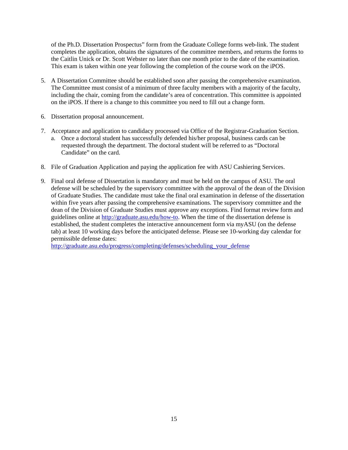of the Ph.D. Dissertation Prospectus" form from the Graduate College forms web-link. The student completes the application, obtains the signatures of the committee members, and returns the forms to the Caitlin Unick or Dr. Scott Webster no later than one month prior to the date of the examination. This exam is taken within one year following the completion of the course work on the iPOS.

- 5. A Dissertation Committee should be established soon after passing the comprehensive examination. The Committee must consist of a minimum of three faculty members with a majority of the faculty, including the chair, coming from the candidate's area of concentration. This committee is appointed on the iPOS. If there is a change to this committee you need to fill out a change form.
- 6. Dissertation proposal announcement.
- 7. Acceptance and application to candidacy processed via Office of the Registrar-Graduation Section.
	- a. Once a doctoral student has successfully defended his/her proposal, business cards can be requested through the department. The doctoral student will be referred to as "Doctoral Candidate" on the card.
- 8. File of Graduation Application and paying the application fee with ASU Cashiering Services.
- 9. Final oral defense of Dissertation is mandatory and must be held on the campus of ASU. The oral defense will be scheduled by the supervisory committee with the approval of the dean of the Division of Graduate Studies. The candidate must take the final oral examination in defense of the dissertation within five years after passing the comprehensive examinations. The supervisory committee and the dean of the Division of Graduate Studies must approve any exceptions. Find format review form and guidelines online at [http://graduate.asu.edu/how-to.](http://graduate.asu.edu/how-to) When the time of the dissertation defense is established, the student completes the interactive announcement form via myASU (on the defense tab) at least 10 working days before the anticipated defense. Please see 10-working day calendar for permissible defense dates:

[http://graduate.asu.edu/progress/completing/defenses/scheduling\\_your\\_defense](http://graduate.asu.edu/progress/completing/defenses/scheduling_your_defense)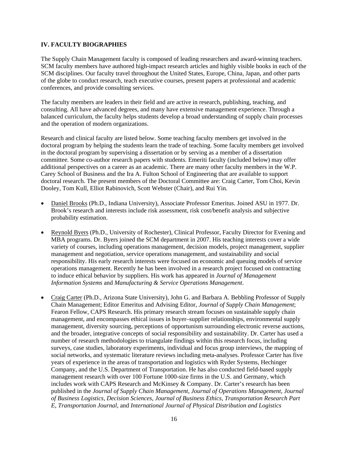#### **IV. FACULTY BIOGRAPHIES**

The Supply Chain Management faculty is composed of leading researchers and award-winning teachers. SCM faculty members have authored high-impact research articles and highly visible books in each of the SCM disciplines. Our faculty travel throughout the United States, Europe, China, Japan, and other parts of the globe to conduct research, teach executive courses, present papers at professional and academic conferences, and provide consulting services.

The faculty members are leaders in their field and are active in research, publishing, teaching, and consulting. All have advanced degrees, and many have extensive management experience. Through a balanced curriculum, the faculty helps students develop a broad understanding of supply chain processes and the operation of modern organizations.

Research and clinical faculty are listed below. Some teaching faculty members get involved in the doctoral program by helping the students learn the trade of teaching. Some faculty members get involved in the doctoral program by supervising a dissertation or by serving as a member of a dissertation committee. Some co-author research papers with students. Emeriti faculty (included below) may offer additional perspectives on a career as an academic. There are many other faculty members in the W.P. Carey School of Business and the Ira A. Fulton School of Engineering that are available to support doctoral research. The present members of the Doctoral Committee are: Craig Carter, Tom Choi, Kevin Dooley, Tom Kull, Elliot Rabinovich, Scott Webster (Chair), and Rui Yin.

- Daniel Brooks (Ph.D., Indiana University), Associate Professor Emeritus. Joined ASU in 1977. Dr. Brook's research and interests include risk assessment, risk cost/benefit analysis and subjective probability estimation.
- Reynold Byers (Ph.D., University of Rochester), Clinical Professor, Faculty Director for Evening and MBA programs. Dr. Byers joined the SCM department in 2007. His teaching interests cover a wide variety of courses, including operations management, decision models, project management, supplier management and negotiation, service operations management, and sustainability and social responsibility. His early research interests were focused on economic and queuing models of service operations management. Recently he has been involved in a research project focused on contracting to induce ethical behavior by suppliers. His work has appeared in *Journal of Management Information Systems* and *Manufacturing & Service Operations Management*.
- Craig Carter (Ph.D., Arizona State University), John G. and Barbara A. Bebbling Professor of Supply Chain Management; Editor Emeritus and Advising Editor, *Journal of Supply Chain Management*; Fearon Fellow, CAPS Research. His primary research stream focuses on sustainable supply chain management, and encompasses ethical issues in buyer–supplier relationships, environmental supply management, diversity sourcing, perceptions of opportunism surrounding electronic reverse auctions, and the broader, integrative concepts of social responsibility and sustainability. Dr. Carter has used a number of research methodologies to triangulate findings within this research focus, including surveys, case studies, laboratory experiments, individual and focus group interviews, the mapping of social networks, and systematic literature reviews including meta-analyses. Professor Carter has five years of experience in the areas of transportation and logistics with Ryder Systems, Hechinger Company, and the U.S. Department of Transportation. He has also conducted field-based supply management research with over 100 Fortune 1000-size firms in the U.S. and Germany, which includes work with CAPS Research and McKinsey & Company. Dr. Carter's research has been published in the *Journal of Supply Chain Management*, *Journal of Operations Management*, *Journal of Business Logistics*, *Decision Sciences*, *Journal of Business Ethics*, *Transportation Research Part E*, *Transportation Journal*, and *International Journal of Physical Distribution and Logistics*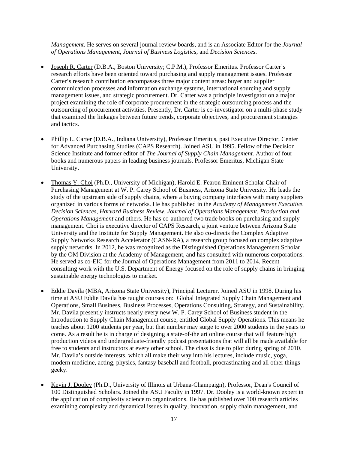*Management*. He serves on several journal review boards, and is an Associate Editor for the *Journal of Operations Management*, *Journal of Business Logistics*, and *Decision Sciences*.

- Joseph R. Carter (D.B.A., Boston University; C.P.M.), Professor Emeritus. Professor Carter's research efforts have been oriented toward purchasing and supply management issues. Professor Carter's research contribution encompasses three major content areas: buyer and supplier communication processes and information exchange systems, international sourcing and supply management issues, and strategic procurement. Dr. Carter was a principle investigator on a major project examining the role of corporate procurement in the strategic outsourcing process and the outsourcing of procurement activities. Presently, Dr. Carter is co-investigator on a multi-phase study that examined the linkages between future trends, corporate objectives, and procurement strategies and tactics.
- Phillip L. Carter (D.B.A., Indiana University), Professor Emeritus, past Executive Director, Center for Advanced Purchasing Studies (CAPS Research). Joined ASU in 1995. Fellow of the Decision Science Institute and former editor of *The Journal of Supply Chain Management.* Author of four books and numerous papers in leading business journals. Professor Emeritus, Michigan State University.
- Thomas Y. Choi (Ph.D., University of Michigan), Harold E. Fearon Eminent Scholar Chair of Purchasing Management at W. P. Carey School of Business, Arizona State University. He leads the study of the upstream side of supply chains, where a buying company interfaces with many suppliers organized in various forms of networks. He has published in the *Academy of Management Executive*, *Decision Sciences*, *Harvard Business Review, Journal of Operations Management, Production and Operations Management* and others. He has co-authored two trade books on purchasing and supply management. Choi is executive director of CAPS Research, a joint venture between Arizona State University and the Institute for Supply Management. He also co-directs the Complex Adaptive Supply Networks Research Accelerator (CASN-RA), a research group focused on complex adaptive supply networks. In 2012, he was recognized as the Distinguished Operations Management Scholar by the OM Division at the Academy of Management, and has consulted with numerous corporations. He served as co-EIC for the Journal of Operations Management from 2011 to 2014. Recent consulting work with the U.S. Department of Energy focused on the role of supply chains in bringing sustainable energy technologies to market.
- Eddie Davila (MBA, Arizona State University), Principal Lecturer. Joined ASU in 1998. During his time at ASU Eddie Davila has taught courses on: Global Integrated Supply Chain Management and Operations, Small Business, Business Processes, Operations Consulting, Strategy, and Sustainability. Mr. Davila presently instructs nearly every new W. P. Carey School of Business student in the Introduction to Supply Chain Management course, entitled Global Supply Operations. This means he teaches about 1200 students per year, but that number may surge to over 2000 students in the years to come. As a result he is in charge of designing a state-of-the art online course that will feature high production videos and undergraduate-friendly podcast presentations that will all be made available for free to students and instructors at every other school. The class is due to pilot during spring of 2010. Mr. Davila's outside interests, which all make their way into his lectures, include music, yoga, modern medicine, acting, physics, fantasy baseball and football, procrastinating and all other things geeky.
- Kevin J. Dooley (Ph.D., University of Illinois at Urbana-Champaign), Professor, Dean's Council of 100 Distinguished Scholars. Joined the ASU Faculty in 1997. Dr. Dooley is a world-known expert in the application of complexity science to organizations. He has published over 100 research articles examining complexity and dynamical issues in quality, innovation, supply chain management, and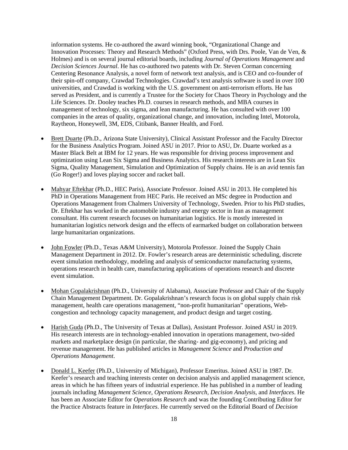information systems. He co-authored the award winning book, "Organizational Change and Innovation Processes: Theory and Research Methods" (Oxford Press, with Drs. Poole, Van de Ven, & Holmes) and is on several journal editorial boards, including *Journal of Operations Management* and *Decision Sciences Journal*. He has co-authored two patents with Dr. Steven Corman concerning Centering Resonance Analysis, a novel form of network text analysis, and is CEO and co-founder of their spin-off company, Crawdad Technologies. Crawdad's text analysis software is used in over 100 universities, and Crawdad is working with the U.S. government on anti-terrorism efforts. He has served as President, and is currently a Trustee for the Society for Chaos Theory in Psychology and the Life Sciences. Dr. Dooley teaches Ph.D. courses in research methods, and MBA courses in management of technology, six sigma, and lean manufacturing. He has consulted with over 100 companies in the areas of quality, organizational change, and innovation, including Intel, Motorola, Raytheon, Honeywell, 3M, EDS, Citibank, Banner Health, and Ford.

- Brett Duarte (Ph.D., Arizona State University), Clinical Assistant Professor and the Faculty Director for the Business Analytics Program. Joined ASU in 2017. Prior to ASU, Dr. Duarte worked as a Master Black Belt at IBM for 12 years. He was responsible for driving process improvement and optimization using Lean Six Sigma and Business Analytics. His research interests are in Lean Six Sigma, Quality Management, Simulation and Optimization of Supply chains. He is an avid tennis fan (Go Roger!) and loves playing soccer and racket ball.
- Mahyar Eftekhar (Ph.D., HEC Paris), Associate Professor. Joined ASU in 2013. He completed his PhD in Operations Management from HEC Paris. He received an MSc degree in Production and Operations Management from Chalmers University of Technology, Sweden. Prior to his PhD studies, Dr. Eftekhar has worked in the automobile industry and energy sector in Iran as management consultant. His current research focuses on humanitarian logistics. He is mostly interested in humanitarian logistics network design and the effects of earmarked budget on collaboration between large humanitarian organizations.
- John Fowler (Ph.D., Texas A&M University), Motorola Professor. Joined the Supply Chain Management Department in 2012. Dr. Fowler's research areas are deterministic scheduling, discrete event simulation methodology, modeling and analysis of semiconductor manufacturing systems, operations research in health care, manufacturing applications of operations research and discrete event simulation.
- Mohan Gopalakrishnan (Ph.D., University of Alabama), Associate Professor and Chair of the Supply Chain Management Department. Dr. Gopalakrishnan's research focus is on global supply chain risk management, health care operations management, "non-profit humanitarian" operations, Webcongestion and technology capacity management, and product design and target costing.
- Harish Guda (Ph.D., The University of Texas at Dallas), Assistant Professor. Joined ASU in 2019. His research interests are in technology-enabled innovation in operations management, two-sided markets and marketplace design (in particular, the sharing- and gig-economy), and pricing and revenue management. He has published articles in *Management Science* and *Production and Operations Management*.
- Donald L. Keefer (Ph.D., University of Michigan), Professor Emeritus. Joined ASU in 1987. Dr. Keefer's research and teaching interests center on decision analysis and applied management science, areas in which he has fifteen years of industrial experience. He has published in a number of leading journals including *Management Science, Operations Research, Decision Analysis*, and *Interfaces*. He has been an Associate Editor for *Operations Research* and was the founding Contributing Editor for the Practice Abstracts feature in *Interfaces*. He currently served on the Editorial Board of *Decision*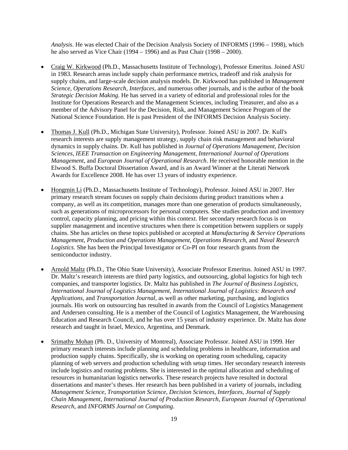*Analysis*. He was elected Chair of the Decision Analysis Society of INFORMS (1996 – 1998), which he also served as Vice Chair (1994 – 1996) and as Past Chair (1998 – 2000).

- Craig W. Kirkwood (Ph.D., Massachusetts Institute of Technology), Professor Emeritus. Joined ASU in 1983. Research areas include supply chain performance metrics, tradeoff and risk analysis for supply chains, and large-scale decision analysis models. Dr. Kirkwood has published in *Management Science, Operations Research, Interfaces,* and numerous other journals, and is the author of the book *Strategic Decision Making.* He has served in a variety of editorial and professional roles for the Institute for Operations Research and the Management Sciences, including Treasurer, and also as a member of the Advisory Panel for the Decision, Risk, and Management Science Program of the National Science Foundation. He is past President of the INFORMS Decision Analysis Society.
- Thomas J. Kull (Ph.D., Michigan State University), Professor. Joined ASU in 2007. Dr. Kull's research interests are supply management strategy, supply chain risk management and behavioral dynamics in supply chains. Dr. Kull has published in *Journal of Operations Management*, *Decision Sciences*, *IEEE Transaction on Engineering Management*, *International Journal of Operations Management*, and *European Journal of Operational Research*. He received honorable mention in the Elwood S. Buffa Doctoral Dissertation Award, and is an Award Winner at the Literati Network Awards for Excellence 2008. He has over 13 years of industry experience.
- Hongmin Li (Ph.D., Massachusetts Institute of Technology), Professor. Joined ASU in 2007. Her primary research stream focuses on supply chain decisions during product transitions when a company, as well as its competition, manages more than one generation of products simultaneously, such as generations of microprocessors for personal computers. She studies production and inventory control, capacity planning, and pricing within this context. Her secondary research focus is on supplier management and incentive structures when there is competition between suppliers or supply chains. She has articles on these topics published or accepted at *Manufacturing & Service Operations Management*, *Production and Operations Management*, *Operations Research*, and *Naval Research Logistics*. She has been the Principal Investigator or Co-PI on four research grants from the semiconductor industry.
- Arnold Maltz (Ph.D., The Ohio State University), Associate Professor Emeritus. Joined ASU in 1997. Dr. Maltz's research interests are third party logistics, and outsourcing, global logistics for high tech companies, and transporter logistics. Dr. Maltz has published in *The Journal of Business Logistics, International Journal of Logistics Management, International Journal of Logistics: Research and Applications,* and *Transportation Journal,* as well as other marketing, purchasing, and logistics journals. His work on outsourcing has resulted in awards from the Council of Logistics Management and Andersen consulting. He is a member of the Council of Logistics Management, the Warehousing Education and Research Council, and he has over 15 years of industry experience. Dr. Maltz has done research and taught in Israel, Mexico, Argentina, and Denmark.
- Srimathy Mohan (Ph. D., University of Montreal), Associate Professor. Joined ASU in 1999. Her primary research interests include planning and scheduling problems in healthcare, information and production supply chains. Specifically, she is working on operating room scheduling, capacity planning of web servers and production scheduling with setup times. Her secondary research interests include logistics and routing problems. She is interested in the optimal allocation and scheduling of resources in humanitarian logistics networks. These research projects have resulted in doctoral dissertations and master's theses. Her research has been published in a variety of journals, including *Management Science, Transportation Science, Decision Sciences, Interfaces, Journal of Supply Chain Management, International Journal of Production Research, European Journal of Operational Research*, and *INFORMS Journal on Computing*.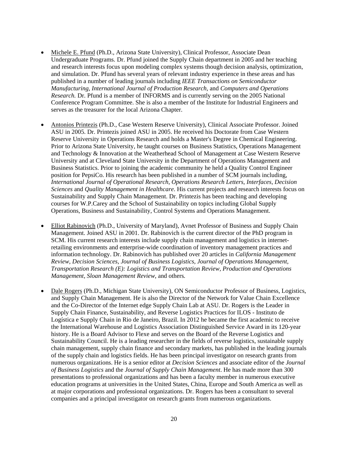- Michele E. Pfund (Ph.D., Arizona State University), Clinical Professor, Associate Dean Undergraduate Programs. Dr. Pfund joined the Supply Chain department in 2005 and her teaching and research interests focus upon modeling complex systems though decision analysis, optimization, and simulation. Dr. Pfund has several years of relevant industry experience in these areas and has published in a number of leading journals including *IEEE Transactions on Semiconductor Manufacturing, International Journal of Production Research,* and *Computers and Operations Research.* Dr. Pfund is a member of INFORMS and is currently serving on the 2005 National Conference Program Committee. She is also a member of the Institute for Industrial Engineers and serves as the treasurer for the local Arizona Chapter.
- Antonios Printezis (Ph.D., Case Western Reserve University), Clinical Associate Professor. Joined ASU in 2005. Dr. Printezis joined ASU in 2005. He received his Doctorate from Case Western Reserve University in Operations Research and holds a Master's Degree in Chemical Engineering. Prior to Arizona State University, he taught courses on Business Statistics, Operations Management and Technology & Innovation at the Weatherhead School of Management at Case Western Reserve University and at Cleveland State University in the Department of Operations Management and Business Statistics. Prior to joining the academic community he held a Quality Control Engineer position for PepsiCo. His research has been published in a number of SCM journals including, *International Journal of Operational Research*, *Operations Research Letters*, *Interfaces*, *Decision Sciences* and *Quality Management in Healthcare*. His current projects and research interests focus on Sustainability and Supply Chain Management. Dr. Printezis has been teaching and developing courses for W.P.Carey and the School of Sustainability on topics including Global Supply Operations, Business and Sustainability, Control Systems and Operations Management.
- Elliot Rabinovich (Ph.D., University of Maryland), Avnet Professor of Business and Supply Chain Management. Joined ASU in 2001. Dr. Rabinovich is the current director of the PhD program in SCM. His current research interests include supply chain management and logistics in internetretailing environments and enterprise-wide coordination of inventory management practices and information technology. Dr. Rabinovich has published over 20 articles in *California Management Review*, *Decision Sciences*, *Journal of Business Logistics, Journal of Operations Management, Transportation Research (E): Logistics and Transportation Review, Production and Operations Management, Sloan Management Review*, and others*.*
- Dale Rogers (Ph.D., Michigan State University), ON Semiconductor Professor of Business, Logistics, and Supply Chain Management. He is also the Director of the Network for Value Chain Excellence and the Co-Director of the Internet edge Supply Chain Lab at ASU. Dr. Rogers is the Leader in Supply Chain Finance, Sustainability, and Reverse Logistics Practices for ILOS - Instituto de Logística e Supply Chain in Rio de Janeiro, Brazil. In 2012 he became the first academic to receive the International Warehouse and Logistics Association Distinguished Service Award in its 120-year history. He is a Board Advisor to Flexe and serves on the Board of the Reverse Logistics and Sustainability Council. He is a leading researcher in the fields of reverse logistics, sustainable supply chain management, supply chain finance and secondary markets, has published in the leading journals of the supply chain and logistics fields. He has been principal investigator on research grants from numerous organizations. He is a senior editor at *Decision Sciences* and associate editor of the *Journal of Business Logistics* and the *Journal of Supply Chain Management*. He has made more than 300 presentations to professional organizations and has been a faculty member in numerous executive education programs at universities in the United States, China, Europe and South America as well as at major corporations and professional organizations. Dr. Rogers has been a consultant to several companies and a principal investigator on research grants from numerous organizations.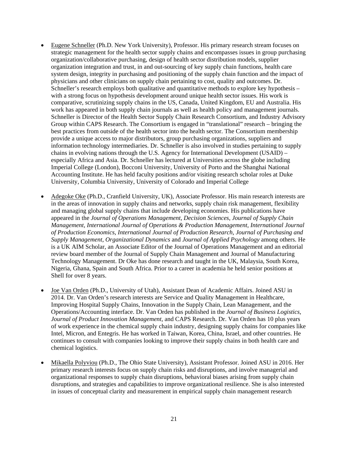- Eugene Schneller (Ph.D. New York University), Professor. His primary research stream focuses on strategic management for the health sector supply chains and encompasses issues in group purchasing organization/collaborative purchasing, design of health sector distribution models, supplier organization integration and trust, in and out-sourcing of key supply chain functions, health care system design, integrity in purchasing and positioning of the supply chain function and the impact of physicians and other clinicians on supply chain pertaining to cost, quality and outcomes. Dr. Schneller's research employs both qualitative and quantitative methods to explore key hypothesis – with a strong focus on hypothesis development around unique health sector issues. His work is comparative, scrutinizing supply chains in the US, Canada, United Kingdom, EU and Australia. His work has appeared in both supply chain journals as well as health policy and management journals. Schneller is Director of the Health Sector Supply Chain Research Consortium, and Industry Advisory Group within CAPS Research. The Consortium is engaged in "translational" research – bringing the best practices from outside of the health sector into the health sector. The Consortium membership provide a unique access to major distributors, group purchasing organizations, suppliers and information technology intermediaries. Dr. Schneller is also involved in studies pertaining to supply chains in evolving nations through the U.S. Agency for International Development (USAID) – especially Africa and Asia. Dr. Schneller has lectured at Universities across the globe including Imperial College (London), Bocconi University, University of Porto and the Shanghai National Accounting Institute. He has held faculty positions and/or visiting research scholar roles at Duke University, Columbia University, University of Colorado and Imperial College
- Adegoke Oke (Ph.D., Cranfield University, UK), Associate Professor. His main research interests are in the areas of innovation in supply chains and networks, supply chain risk management, flexibility and managing global supply chains that include developing economies. His publications have appeared in the *Journal of Operations Management*, *Decision Sciences*, *Journal of Supply Chain Management*, *International Journal of Operations & Production Management*, *International Journal of Production Economics*, *International Journal of Production Research*, *Journal of Purchasing and Supply Management*, *Organizational Dynamics* and *Journal of Applied Psychology* among others. He is a UK AIM Scholar, an Associate Editor of the Journal of Operations Management and an editorial review board member of the Journal of Supply Chain Management and Journal of Manufacturing Technology Management. Dr Oke has done research and taught in the UK, Malaysia, South Korea, Nigeria, Ghana, Spain and South Africa. Prior to a career in academia he held senior positions at Shell for over 8 years.
- Joe Van Orden (Ph.D., University of Utah), Assistant Dean of Academic Affairs. Joined ASU in 2014. Dr. Van Orden's research interests are Service and Quality Management in Healthcare, Improving Hospital Supply Chains, Innovation in the Supply Chain, Lean Management, and the Operations/Accounting interface. Dr. Van Orden has published in the *Journal of Business Logistics*, *Journal of Product Innovation Management*, and CAPS Research. Dr. Van Orden has 10 plus years of work experience in the chemical supply chain industry, designing supply chains for companies like Intel, Micron, and Entegris. He has worked in Taiwan, Korea, China, Israel, and other countries. He continues to consult with companies looking to improve their supply chains in both health care and chemical logistics.
- Mikaella Polyviou (Ph.D., The Ohio State University), Assistant Professor. Joined ASU in 2016. Her primary research interests focus on supply chain risks and disruptions, and involve managerial and organizational responses to supply chain disruptions, behavioral biases arising from supply chain disruptions, and strategies and capabilities to improve organizational resilience. She is also interested in issues of conceptual clarity and measurement in empirical supply chain management research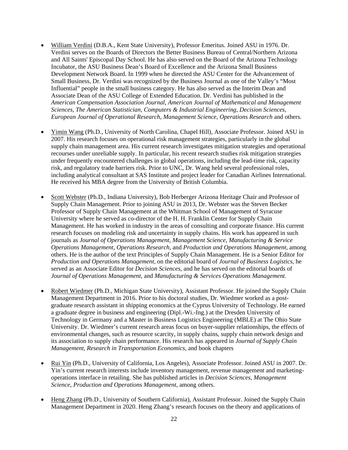- William Verdini (D.B.A., Kent State University), Professor Emeritus. Joined ASU in 1976. Dr. Verdini serves on the Boards of Directors the Better Business Bureau of Central/Northern Arizona and All Saints' Episcopal Day School. He has also served on the Board of the Arizona Technology Incubator, the ASU Business Dean's Board of Excellence and the Arizona Small Business Development Network Board. In 1999 when he directed the ASU Center for the Advancement of Small Business, Dr. Verdini was recognized by the Business Journal as one of the Valley's "Most Influential" people in the small business category. He has also served as the Interim Dean and Associate Dean of the ASU College of Extended Education. Dr. Verdini has published in the *American Compensation Association Journal*, *American Journal of Mathematical and Management Sciences*, *The American Statistician*, *Computers & Industrial Engineering*, *Decision Sciences*, *European Journal of Operational Research*, *Management Science*, *Operations Research* and others.
- Yimin Wang (Ph.D., University of North Carolina, Chapel Hill), Associate Professor. Joined ASU in 2007. His research focuses on operational risk management strategies, particularly in the global supply chain management area. His current research investigates mitigation strategies and operational recourses under unreliable supply. In particular, his recent research studies risk mitigation strategies under frequently encountered challenges in global operations, including the lead-time risk, capacity risk, and regulatory trade barriers risk. Prior to UNC, Dr. Wang held several professional roles, including analytical consultant at SAS Institute and project leader for Canadian Airlines International. He received his MBA degree from the University of British Columbia.
- Scott Webster (Ph.D., Indiana University), Bob Herberger Arizona Heritage Chair and Professor of Supply Chain Management. Prior to joining ASU in 2013, Dr. Webster was the Steven Becker Professor of Supply Chain Management at the Whitman School of Management of Syracuse University where he served as co-director of the H. H. Franklin Center for Supply Chain Management. He has worked in industry in the areas of consulting and corporate finance. His current research focuses on modeling risk and uncertainty in supply chains. His work has appeared in such journals as *Journal of Operations Management*, *Management Science*, *Manufacturing & Service Operations Management*, *Operations Research*, and *Production and Operations Management*, among others. He is the author of the text Principles of Supply Chain Management. He is a Senior Editor for *Production and Operations Management*, on the editorial board of *Journal of Business Logistics*, he served as an Associate Editor for *Decision Sciences*, and he has served on the editorial boards of *Journal of Operations Management*, and *Manufacturing & Services Operations Management*.
- Robert Wiedmer (Ph.D., Michigan State University), Assistant Professor. He joined the Supply Chain Management Department in 2016. Prior to his doctoral studies, Dr. Wiedmer worked as a postgraduate research assistant in shipping economics at the Cyprus University of Technology. He earned a graduate degree in business and engineering (Dipl.-Wi.-Ing.) at the Dresden University of Technology in Germany and a Master in Business Logistics Engineering (MBLE) at The Ohio State University. Dr. Wiedmer's current research areas focus on buyer-supplier relationships, the effects of environmental changes, such as resource scarcity, in supply chains, supply chain network design and its association to supply chain performance. His research has appeared in *Journal of Supply Chain Management, Research in Transportation Economics*, and book chapters
- Rui Yin (Ph.D., University of California, Los Angeles), Associate Professor. Joined ASU in 2007. Dr. Yin's current research interests include inventory management, revenue management and marketingoperations interface in retailing. She has published articles in *Decision Sciences*, *Management Science*, *Production and Operations Management*, among others.
- Heng Zhang (Ph.D., University of Southern California), Assistant Professor. Joined the Supply Chain Management Department in 2020. Heng Zhang's research focuses on the theory and applications of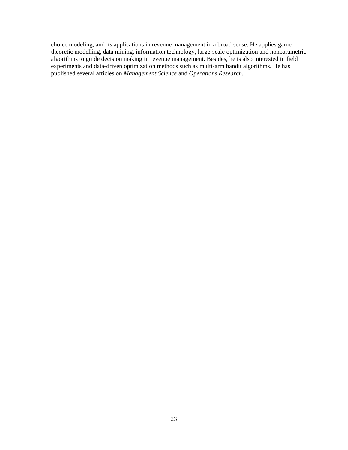choice modeling, and its applications in revenue management in a broad sense. He applies gametheoretic modelling, data mining, information technology, large-scale optimization and nonparametric algorithms to guide decision making in revenue management. Besides, he is also interested in field experiments and data-driven optimization methods such as multi-arm bandit algorithms. He has published several articles on *Management Science* and *Operations Research*.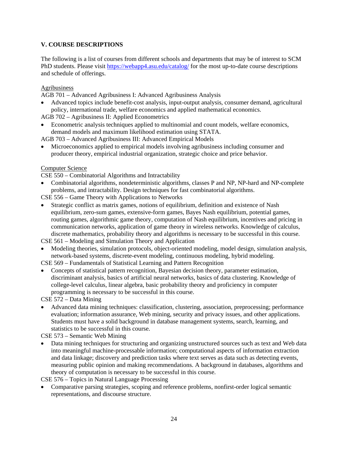# **V. COURSE DESCRIPTIONS**

The following is a list of courses from different schools and departments that may be of interest to SCM PhD students. Please visit<https://webapp4.asu.edu/catalog/> for the most up-to-date course descriptions and schedule of offerings.

## Agribusiness

AGB 701 – Advanced Agribusiness I: Advanced Agribusiness Analysis

• Advanced topics include benefit-cost analysis, input-output analysis, consumer demand, agricultural policy, international trade, welfare economics and applied mathematical economics.

AGB 702 – Agribusiness II: Applied Econometrics

• Econometric analysis techniques applied to multinomial and count models, welfare economics, demand models and maximum likelihood estimation using STATA.

AGB 703 – Advanced Agribusiness III: Advanced Empirical Models

• Microeconomics applied to empirical models involving agribusiness including consumer and producer theory, empirical industrial organization, strategic choice and price behavior.

# Computer Science

CSE 550 – Combinatorial Algorithms and Intractability

• Combinatorial algorithms, nondeterministic algorithms, classes P and NP, NP-hard and NP-complete problems, and intractability. Design techniques for fast combinatorial algorithms.

CSE 556 – Game Theory with Applications to Networks

• Strategic conflict as matrix games, notions of equilibrium, definition and existence of Nash equilibrium, zero-sum games, extensive-form games, Bayes Nash equilibrium, potential games, routing games, algorithmic game theory, computation of Nash equilibrium, incentives and pricing in communication networks, application of game theory in wireless networks. Knowledge of calculus, discrete mathematics, probability theory and algorithms is necessary to be successful in this course.

CSE 561 – Modeling and Simulation Theory and Application

• Modeling theories, simulation protocols, object-oriented modeling, model design, simulation analysis, network-based systems, discrete-event modeling, continuous modeling, hybrid modeling.

CSE 569 – Fundamentals of Statistical Learning and Pattern Recognition

• Concepts of statistical pattern recognition, Bayesian decision theory, parameter estimation, discriminant analysis, basics of artificial neural networks, basics of data clustering. Knowledge of college-level calculus, linear algebra, basic probability theory and proficiency in computer programming is necessary to be successful in this course.

CSE 572 – Data Mining

• Advanced data mining techniques: classification, clustering, association, preprocessing; performance evaluation; information assurance, Web mining, security and privacy issues, and other applications. Students must have a solid background in database management systems, search, learning, and statistics to be successful in this course.

CSE 573 – Semantic Web Mining

• Data mining techniques for structuring and organizing unstructured sources such as text and Web data into meaningful machine-processable information; computational aspects of information extraction and data linkage; discovery and prediction tasks where text serves as data such as detecting events, measuring public opinion and making recommendations. A background in databases, algorithms and theory of computation is necessary to be successful in this course.

CSE 576 – Topics in Natural Language Processing

• Comparative parsing strategies, scoping and reference problems, nonfirst-order logical semantic representations, and discourse structure.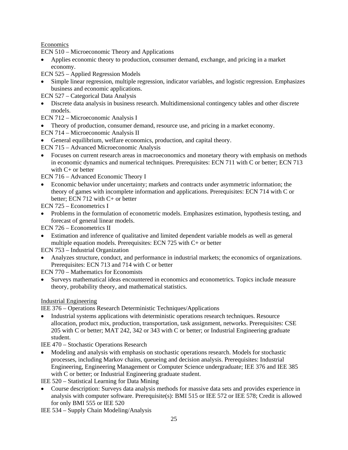# Economics

ECN 510 – Microeconomic Theory and Applications

- Applies economic theory to production, consumer demand, exchange, and pricing in a market economy.
- ECN 525 Applied Regression Models
- Simple linear regression, multiple regression, indicator variables, and logistic regression. Emphasizes business and economic applications.

ECN 527 – Categorical Data Analysis

• Discrete data analysis in business research. Multidimensional contingency tables and other discrete models.

ECN 712 – Microeconomic Analysis I

- Theory of production, consumer demand, resource use, and pricing in a market economy.
- ECN 714 Microeconomic Analysis II
- General equilibrium, welfare economics, production, and capital theory.
- ECN 715 Advanced Microeconomic Analysis
- Focuses on current research areas in macroeconomics and monetary theory with emphasis on methods in economic dynamics and numerical techniques. Prerequisites: ECN 711 with C or better; ECN 713 with C+ or better
- ECN 716 Advanced Economic Theory I
- Economic behavior under uncertainty; markets and contracts under asymmetric information; the theory of games with incomplete information and applications. Prerequisites: ECN 714 with C or better; ECN 712 with C+ or better

ECN 725 – Econometrics I

• Problems in the formulation of econometric models. Emphasizes estimation, hypothesis testing, and forecast of general linear models.

ECN 726 – Econometrics II

• Estimation and inference of qualitative and limited dependent variable models as well as general multiple equation models. Prerequisites: ECN 725 with C+ or better

ECN 753 – Industrial Organization

• Analyzes structure, conduct, and performance in industrial markets; the economics of organizations. Prerequisites: ECN 713 and 714 with C or better

ECN 770 – Mathematics for Economists

• Surveys mathematical ideas encountered in economics and econometrics. Topics include measure theory, probability theory, and mathematical statistics.

# Industrial Engineering

IEE 376 – Operations Research Deterministic Techniques/Applications

• Industrial systems applications with deterministic operations research techniques. Resource allocation, product mix, production, transportation, task assignment, networks. Prerequisites: CSE 205 with C or better; MAT 242, 342 or 343 with C or better; or Industrial Engineering graduate student.

IEE 470 – Stochastic Operations Research

• Modeling and analysis with emphasis on stochastic operations research. Models for stochastic processes, including Markov chains, queueing and decision analysis. Prerequisites: Industrial Engineering, Engineering Management or Computer Science undergraduate; IEE 376 and IEE 385 with C or better; or Industrial Engineering graduate student.

IEE 520 – Statistical Learning for Data Mining

• Course description: Surveys data analysis methods for massive data sets and provides experience in analysis with computer software. Prerequisite(s): BMI 515 or IEE 572 or IEE 578; Credit is allowed for only BMI 555 or IEE 520

IEE 534 – Supply Chain Modeling/Analysis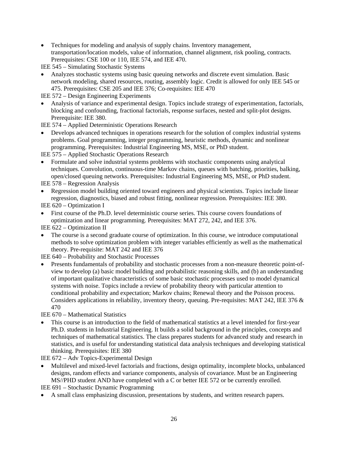• Techniques for modeling and analysis of supply chains. Inventory management, transportation/location models, value of information, channel alignment, risk pooling, contracts. Prerequisites: CSE 100 or 110, IEE 574, and IEE 470.

IEE 545 – Simulating Stochastic Systems

• Analyzes stochastic systems using basic queuing networks and discrete event simulation. Basic network modeling, shared resources, routing, assembly logic. Credit is allowed for only IEE 545 or 475. Prerequisites: CSE 205 and IEE 376; Co-requisites: IEE 470

IEE 572 – Design Engineering Experiments

• Analysis of variance and experimental design. Topics include strategy of experimentation, factorials, blocking and confounding, fractional factorials, response surfaces, nested and split-plot designs. Prerequisite: IEE 380.

IEE 574 – Applied Deterministic Operations Research

• Develops advanced techniques in operations research for the solution of complex industrial systems problems. Goal programming, integer programming, heuristic methods, dynamic and nonlinear programming. Prerequisites: Industrial Engineering MS, MSE, or PhD student.

IEE 575 – Applied Stochastic Operations Research

• Formulate and solve industrial systems problems with stochastic components using analytical techniques. Convolution, continuous-time Markov chains, queues with batching, priorities, balking, open/closed queuing networks. Prerequisites: Industrial Engineering MS, MSE, or PhD student.

IEE 578 – Regression Analysis

- Regression model building oriented toward engineers and physical scientists. Topics include linear regression, diagnostics, biased and robust fitting, nonlinear regression. Prerequisites: IEE 380.
- IEE 620 Optimization I
- First course of the Ph.D. level deterministic course series. This course covers foundations of optimization and linear programming. Prerequisites: MAT 272, 242, and IEE 376.

IEE 622 – Optimization II

• The course is a second graduate course of optimization. In this course, we introduce computational methods to solve optimization problem with integer variables efficiently as well as the mathematical theory. Pre-requisite: MAT 242 and IEE 376

IEE 640 – Probability and Stochastic Processes

• Presents fundamentals of probability and stochastic processes from a non-measure theoretic point-ofview to develop (a) basic model building and probabilistic reasoning skills, and (b) an understanding of important qualitative characteristics of some basic stochastic processes used to model dynamical systems with noise. Topics include a review of probability theory with particular attention to conditional probability and expectation; Markov chains; Renewal theory and the Poisson process. Considers applications in reliability, inventory theory, queuing. Pre-requisites: MAT 242, IEE 376 & 470

IEE 670 – Mathematical Statistics

• This course is an introduction to the field of mathematical statistics at a level intended for first-year Ph.D. students in Industrial Engineering. It builds a solid background in the principles, concepts and techniques of mathematical statistics. The class prepares students for advanced study and research in statistics, and is useful for understanding statistical data analysis techniques and developing statistical thinking. Prerequisites: IEE 380

IEE 672 – Adv Topics-Experimental Design

• Multilevel and mixed-level factorials and fractions, design optimality, incomplete blocks, unbalanced designs, random effects and variance components, analysis of covariance. Must be an Engineering MS//PHD student AND have completed with a C or better IEE 572 or be currently enrolled.

IEE 691 – Stochastic Dynamic Programming

• A small class emphasizing discussion, presentations by students, and written research papers.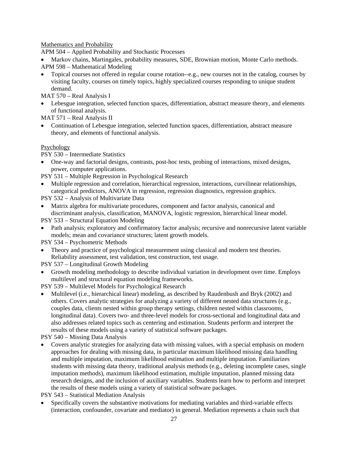Mathematics and Probability

APM 504 – Applied Probability and Stochastic Processes

• Markov chains, Martingales, probability measures, SDE, Brownian motion, Monte Carlo methods. APM 598 – Mathematical Modeling

• Topical courses not offered in regular course rotation--e.g., new courses not in the catalog, courses by visiting faculty, courses on timely topics, highly specialized courses responding to unique student demand.

MAT 570 – Real Analysis I

• Lebesgue integration, selected function spaces, differentiation, abstract measure theory, and elements of functional analysis.

MAT 571 – Real Analysis II

• Continuation of Lebesgue integration, selected function spaces, differentiation, abstract measure theory, and elements of functional analysis.

# Psychology

PSY 530 – Intermediate Statistics

- One-way and factorial designs, contrasts, post-hoc tests, probing of interactions, mixed designs, power, computer applications.
- PSY 531 Multiple Regression in Psychological Research
- Multiple regression and correlation, hierarchical regression, interactions, curvilinear relationships, categorical predictors, ANOVA in regression, regression diagnostics, regression graphics.

PSY 532 – Analysis of Multivariate Data

• Matrix algebra for multivariate procedures, component and factor analysis, canonical and discriminant analysis, classification, MANOVA, logistic regression, hierarchical linear model.

PSY 533 – Structural Equation Modeling

- Path analysis; exploratory and confirmatory factor analysis; recursive and nonrecursive latent variable models; mean and covariance structures; latent growth models.
- PSY 534 Psychometric Methods
- Theory and practice of psychological measurement using classical and modern test theories. Reliability assessment, test validation, test construction, test usage.

PSY 537 – Longitudinal Growth Modeling

• Growth modeling methodology to describe individual variation in development over time. Employs multilevel and structural equation modeling frameworks.

PSY 539 – Multilevel Models for Psychological Research

• Multilevel (i.e., hierarchical linear) modeling, as described by Raudenbush and Bryk (2002) and others. Covers analytic strategies for analyzing a variety of different nested data structures (e.g., couples data, clients nested within group therapy settings, children nested within classrooms, longitudinal data). Covers two- and three-level models for cross-sectional and longitudinal data and also addresses related topics such as centering and estimation. Students perform and interpret the results of these models using a variety of statistical software packages.

PSY 540 – Missing Data Analysis

• Covers analytic strategies for analyzing data with missing values, with a special emphasis on modern approaches for dealing with missing data, in particular maximum likelihood missing data handling and multiple imputation, maximum likelihood estimation and multiple imputation. Familiarizes students with missing data theory, traditional analysis methods (e.g., deleting incomplete cases, single imputation methods), maximum likelihood estimation, multiple imputation, planned missing data research designs, and the inclusion of auxiliary variables. Students learn how to perform and interpret the results of these models using a variety of statistical software packages.

PSY 543 – Statistical Mediation Analysis

• Specifically covers the substantive motivations for mediating variables and third-variable effects (interaction, confounder, covariate and mediator) in general. Mediation represents a chain such that